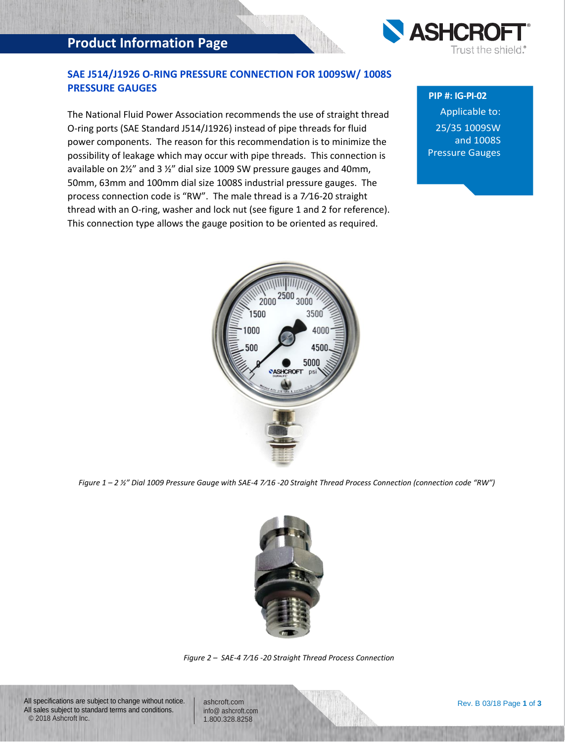# **Product Information Page**



## **SAE J514/J1926 O-RING PRESSURE CONNECTION FOR 1009SW/ 1008S PRESSURE GAUGES**

The National Fluid Power Association recommends the use of straight thread O-ring ports (SAE Standard J514/J1926) instead of pipe threads for fluid power components. The reason for this recommendation is to minimize the possibility of leakage which may occur with pipe threads. This connection is available on 2½" and 3 ½" dial size 1009 SW pressure gauges and 40mm, 50mm, 63mm and 100mm dial size 1008S industrial pressure gauges. The process connection code is "RW". The male thread is a 7⁄16-20 straight thread with an O-ring, washer and lock nut (see figure 1 and 2 for reference). This connection type allows the gauge position to be oriented as required.

*Figure 1 – 2 ½" Dial 1009 Pressure Gauge with SAE-4 7⁄16 -20 Straight Thread Process Connection (connection code "RW")*



*Figure 2 – SAE-4 7⁄16 -20 Straight Thread Process Connection*

All specifications are subject to change without notice. All sales subject to standard terms and conditions. © 2018 Ashcroft Inc.

ashcroft.com [info@ ashcroft.com](mailto:info@ashcroft.com) 1.800.328.8258

### **PIP #: IG-PI-02**

Applicable to: 25/35 1009SW and 1008S Pressure Gauges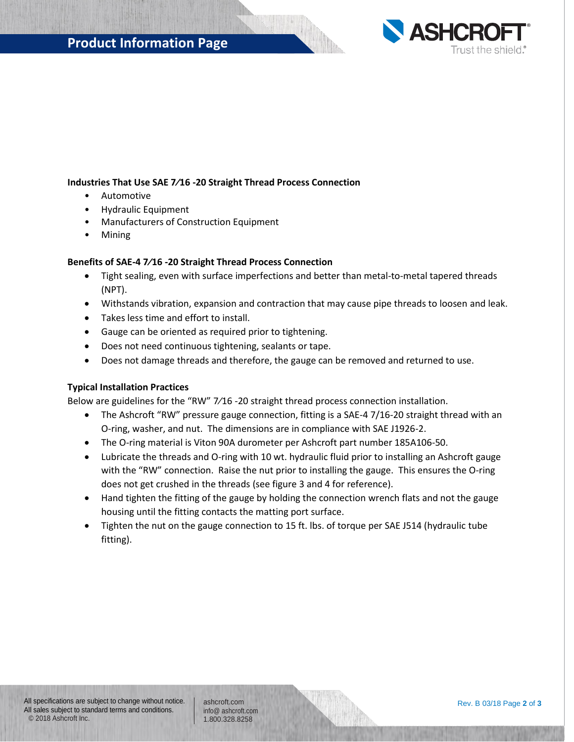

### **Industries That Use SAE 7⁄16 -20 Straight Thread Process Connection**

- Automotive
- Hydraulic Equipment
- Manufacturers of Construction Equipment
- Mining

### **Benefits of SAE-4 7⁄16 -20 Straight Thread Process Connection**

- Tight sealing, even with surface imperfections and better than metal-to-metal tapered threads (NPT).
- Withstands vibration, expansion and contraction that may cause pipe threads to loosen and leak.
- Takes less time and effort to install.
- Gauge can be oriented as required prior to tightening.
- Does not need continuous tightening, sealants or tape.
- Does not damage threads and therefore, the gauge can be removed and returned to use.

### **Typical Installation Practices**

Below are guidelines for the "RW" 7⁄16 -20 straight thread process connection installation.

- The Ashcroft "RW" pressure gauge connection, fitting is a SAE-4 7/16-20 straight thread with an O-ring, washer, and nut. The dimensions are in compliance with SAE J1926-2.
- The O-ring material is Viton 90A durometer per Ashcroft part number 185A106-50.
- Lubricate the threads and O-ring with 10 wt. hydraulic fluid prior to installing an Ashcroft gauge with the "RW" connection. Raise the nut prior to installing the gauge. This ensures the O-ring does not get crushed in the threads (see figure 3 and 4 for reference).
- Hand tighten the fitting of the gauge by holding the connection wrench flats and not the gauge housing until the fitting contacts the matting port surface.
- Tighten the nut on the gauge connection to 15 ft. lbs. of torque per SAE J514 (hydraulic tube fitting).